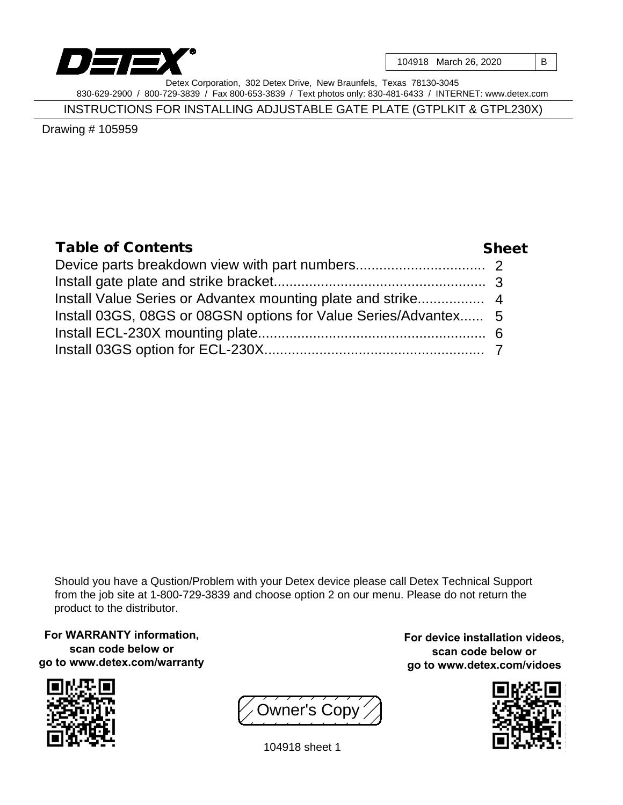

104918 March 26, 2020 | B

Detex Corporation, 302 Detex Drive, New Braunfels, Texas 78130-3045 830-629-2900 / 800-729-3839 / Fax 800-653-3839 / Text photos only: 830-481-6433 / INTERNET: www.detex.com

INSTRUCTIONS FOR INSTALLING ADJUSTABLE GATE PLATE (GTPLKIT & GTPL230X)

Drawing # 105959

| Table of Contents                                               | Sheet |
|-----------------------------------------------------------------|-------|
|                                                                 |       |
|                                                                 |       |
|                                                                 |       |
| Install 03GS, 08GS or 08GSN options for Value Series/Advantex 5 |       |
|                                                                 |       |
|                                                                 |       |

Should you have a Qustion/Problem with your Detex device please call Detex Technical Support from the job site at 1-800-729-3839 and choose option 2 on our menu. Please do not return the product to the distributor.

**For WARRANTY information, scan code below or go to www.detex.com/warranty**





**For device installation videos, scan code below or go to www.detex.com/vidoes**



104918 sheet 1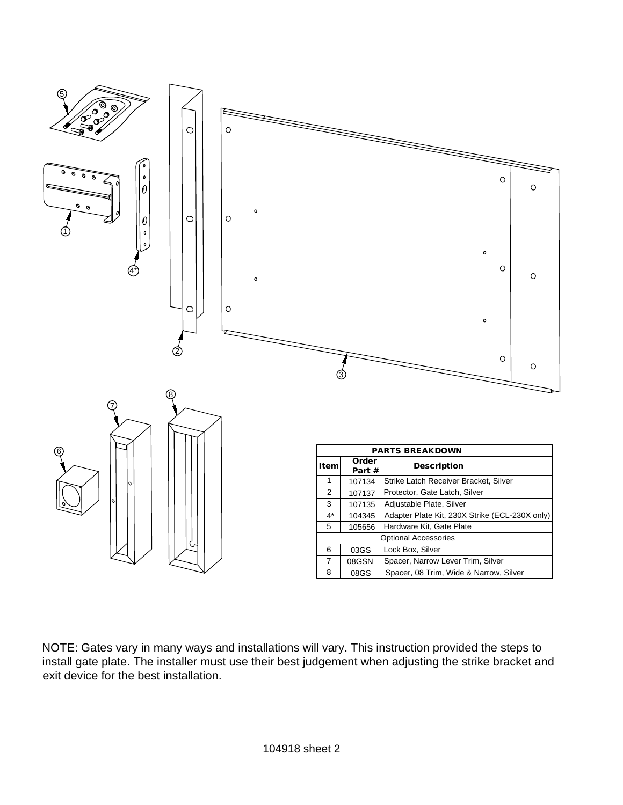

NOTE: Gates vary in many ways and installations will vary. This instruction provided the steps to install gate plate. The installer must use their best judgement when adjusting the strike bracket and exit device for the best installation.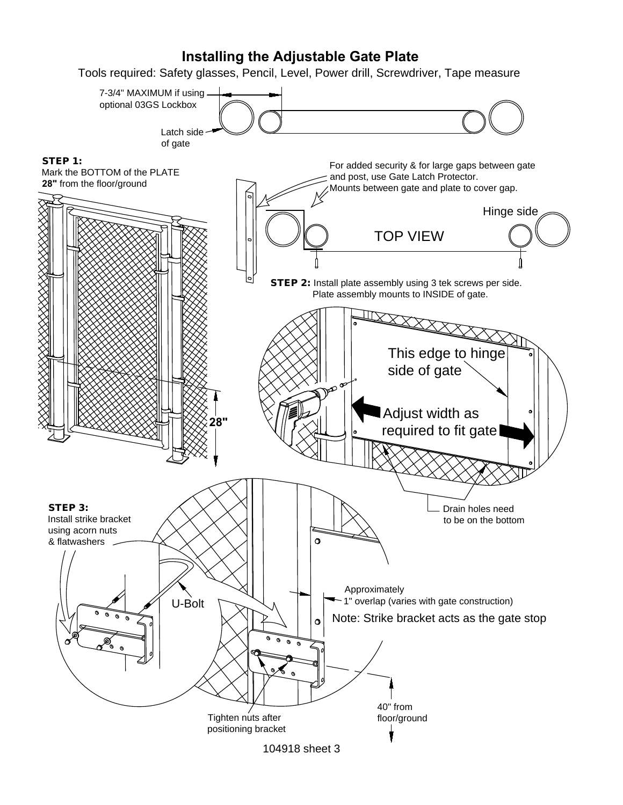## **Installing the Adjustable Gate Plate**

Tools required: Safety glasses, Pencil, Level, Power drill, Screwdriver, Tape measure

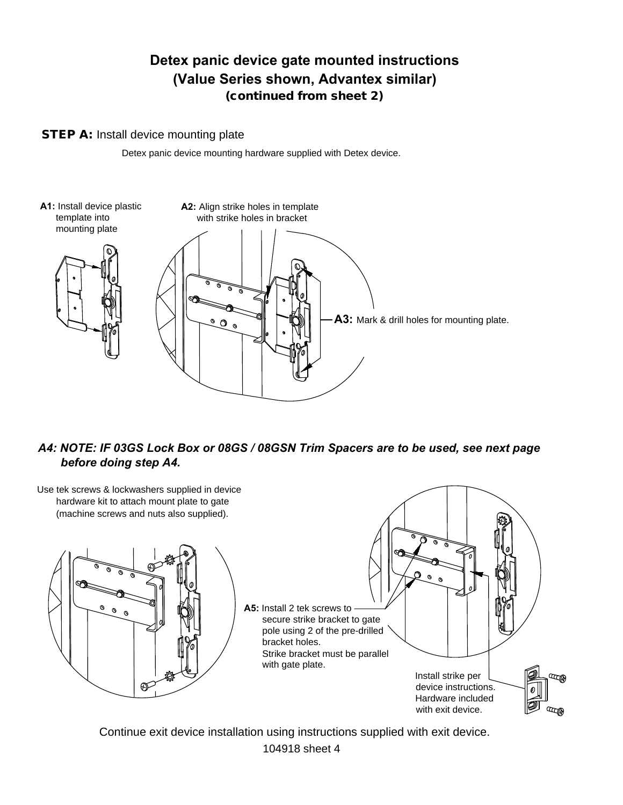# **Detex panic device gate mounted instructions (Value Series shown, Advantex similar)**

(continued from sheet 2)

#### STEP A: Install device mounting plate

Detex panic device mounting hardware supplied with Detex device.



### *A4: NOTE: IF 03GS Lock Box or 08GS / 08GSN Trim Spacers are to be used, see next page before doing step A4.*



104918 sheet 4 Continue exit device installation using instructions supplied with exit device.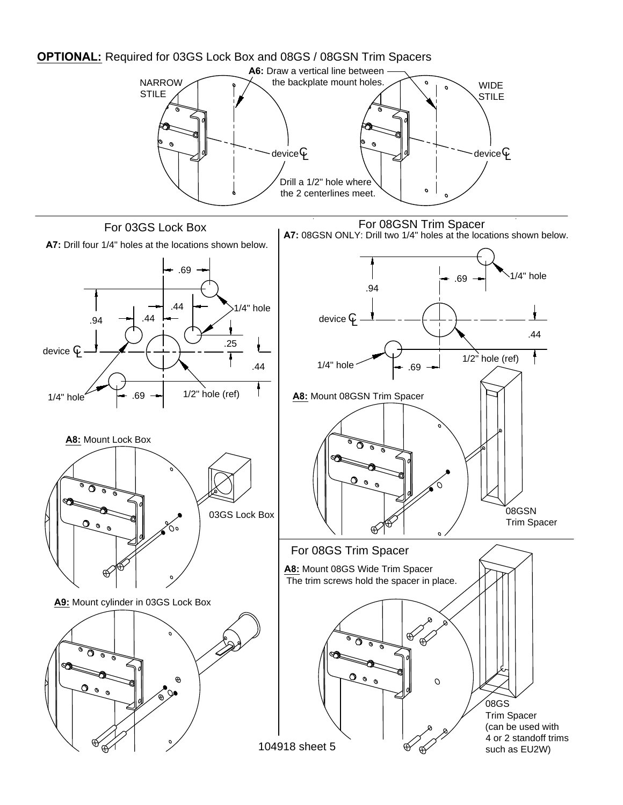

104918 sheet 5

ക്

<sup>08</sup>GS Trim Spacer (can be used with 4 or 2 standoff trims such as EU2W)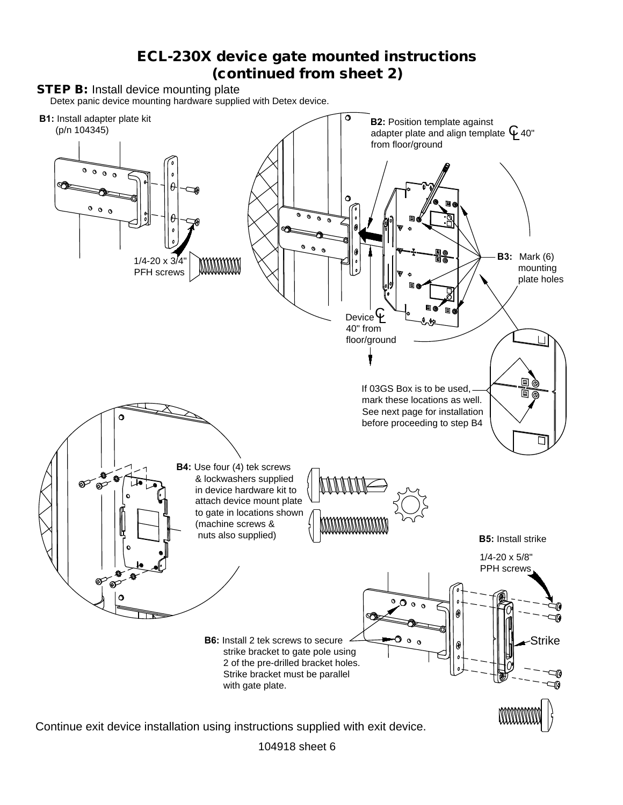## ECL-230X device gate mounted instructions (continued from sheet 2)



104918 sheet 6